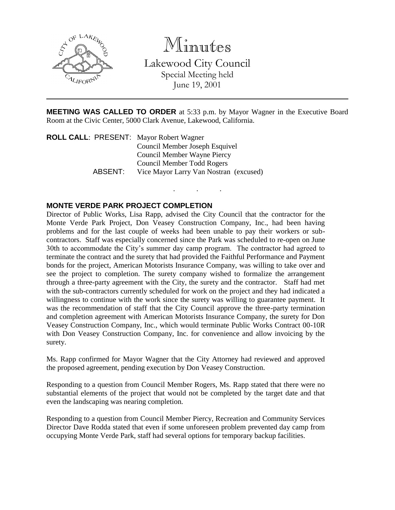

Minutes

Lakewood City Council Special Meeting held June 19, 2001

**MEETING WAS CALLED TO ORDER** at 5:33 p.m. by Mayor Wagner in the Executive Board Room at the Civic Center, 5000 Clark Avenue, Lakewood, California.

. . .

**ROLL CALL**: PRESENT: Mayor Robert Wagner Council Member Joseph Esquivel Council Member Wayne Piercy Council Member Todd Rogers ABSENT: Vice Mayor Larry Van Nostran (excused)

## **MONTE VERDE PARK PROJECT COMPLETION**

Director of Public Works, Lisa Rapp, advised the City Council that the contractor for the Monte Verde Park Project, Don Veasey Construction Company, Inc., had been having problems and for the last couple of weeks had been unable to pay their workers or subcontractors. Staff was especially concerned since the Park was scheduled to re-open on June 30th to accommodate the City's summer day camp program. The contractor had agreed to terminate the contract and the surety that had provided the Faithful Performance and Payment bonds for the project, American Motorists Insurance Company, was willing to take over and see the project to completion. The surety company wished to formalize the arrangement through a three-party agreement with the City, the surety and the contractor. Staff had met with the sub-contractors currently scheduled for work on the project and they had indicated a willingness to continue with the work since the surety was willing to guarantee payment. It was the recommendation of staff that the City Council approve the three-party termination and completion agreement with American Motorists Insurance Company, the surety for Don Veasey Construction Company, Inc., which would terminate Public Works Contract 00-10R with Don Veasey Construction Company, Inc. for convenience and allow invoicing by the surety.

Ms. Rapp confirmed for Mayor Wagner that the City Attorney had reviewed and approved the proposed agreement, pending execution by Don Veasey Construction.

Responding to a question from Council Member Rogers, Ms. Rapp stated that there were no substantial elements of the project that would not be completed by the target date and that even the landscaping was nearing completion.

Responding to a question from Council Member Piercy, Recreation and Community Services Director Dave Rodda stated that even if some unforeseen problem prevented day camp from occupying Monte Verde Park, staff had several options for temporary backup facilities.